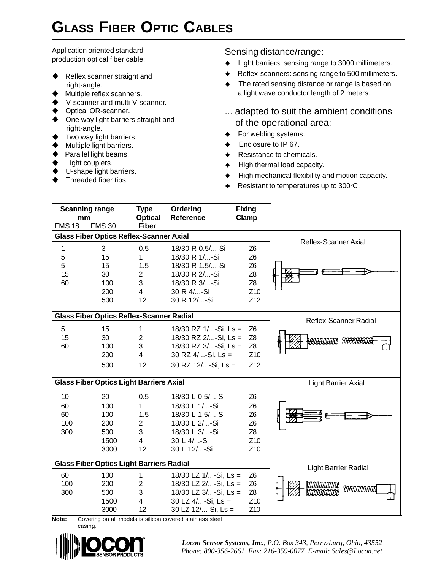## **GLASS FIBER OPTIC CABLES**

Application oriented standard production optical fiber cable:

- $\blacklozenge$  Reflex scanner straight and right-angle.
- Multiple reflex scanners.
- V-scanner and multi-V-scanner.
- ◆ Optical OR-scanner.
- $\blacklozenge$  One way light barriers straight and right-angle.
- $\blacklozenge$  Two way light barriers.
- $\blacklozenge$  Multiple light barriers.
- $\blacklozenge$  Parallel light beams.
- $\blacklozenge$  Light couplers.
- $\blacklozenge$  U-shape light barriers.
- Threaded fiber tips.

## Sensing distance/range:

- Light barriers: sensing range to 3000 millimeters.
- $\blacklozenge$  Reflex-scanners: sensing range to 500 millimeters.
- $\blacklozenge$  The rated sensing distance or range is based on a light wave conductor length of 2 meters.
- ... adapted to suit the ambient conditions of the operational area:
- $\blacklozenge$  For welding systems.
- Enclosure to IP 67.
- Resistance to chemicals.
- High thermal load capacity.
- High mechanical flexibility and motion capacity.
- $\blacklozenge$  Resistant to temperatures up to 300 $\degree$ C.

| <b>Scanning range</b><br>mm                     |                                                | <b>Type</b>                                                    | Ordering                                                                                                           | <b>Fixing</b>                                                                                                                |                                     |
|-------------------------------------------------|------------------------------------------------|----------------------------------------------------------------|--------------------------------------------------------------------------------------------------------------------|------------------------------------------------------------------------------------------------------------------------------|-------------------------------------|
| <b>FMS18</b>                                    | <b>FMS 30</b>                                  | <b>Optical</b><br><b>Fiber</b>                                 | Reference                                                                                                          | Clamp                                                                                                                        |                                     |
| <b>Glass Fiber Optics Reflex-Scanner Axial</b>  |                                                |                                                                |                                                                                                                    |                                                                                                                              |                                     |
| 1<br>5<br>5<br>15<br>60                         | 3<br>15<br>15<br>30<br>100                     | 0.5<br>1<br>1.5<br>$\overline{2}$<br>3                         | 18/30 R 0.5/-Si<br>18/30 R 1/-Si<br>18/30 R 1.5/-Si<br>18/30 R 2/-Si<br>18/30 R 3/-Si                              | Z <sub>6</sub><br>Z <sub>6</sub><br>Z <sub>6</sub><br>Z8<br>Z <sub>8</sub>                                                   | <b>Reflex-Scanner Axial</b>         |
|                                                 | 200<br>500                                     | $\overline{4}$<br>12                                           | 30 R 4/-Si<br>30 R 12/-Si                                                                                          | Z10<br>Z12                                                                                                                   |                                     |
| <b>Glass Fiber Optics Reflex-Scanner Radial</b> |                                                |                                                                |                                                                                                                    |                                                                                                                              | Reflex-Scanner Radial               |
| 5<br>15<br>60                                   | 15<br>30<br>100<br>200<br>500                  | 1<br>$\overline{2}$<br>3<br>$\overline{4}$<br>12               | 18/30 RZ $1/$ -Si, Ls =<br>18/30 RZ 2/-Si, Ls =<br>18/30 RZ 3/-Si, Ls =<br>30 RZ 4/-Si, Ls =<br>30 RZ 12/-Si, Ls = | Z <sub>6</sub><br>Z <sub>8</sub><br>Z <sub>8</sub><br>Z <sub>10</sub><br>Z12                                                 | BANGHINGGAS TI <del>OC</del> HINGGA |
| <b>Glass Fiber Optics Light Barriers Axial</b>  |                                                |                                                                |                                                                                                                    |                                                                                                                              | <b>Light Barrier Axial</b>          |
| 10<br>60<br>60<br>100<br>300                    | 20<br>100<br>100<br>200<br>500<br>1500<br>3000 | 0.5<br>1<br>1.5<br>$\overline{2}$<br>3<br>$\overline{4}$<br>12 | 18/30 L 0.5/-Si<br>18/30 L 1/-Si<br>18/30 L 1.5/-Si<br>18/30 L 2/-Si<br>18/30 L 3/-Si<br>30 L 4/-Si<br>30 L 12/-Si | Z <sub>6</sub><br>Z <sub>6</sub><br>Z <sub>6</sub><br>Z <sub>6</sub><br>Z <sub>8</sub><br>Z <sub>10</sub><br>Z <sub>10</sub> |                                     |
| <b>Glass Fiber Optics Light Barriers Radial</b> |                                                |                                                                |                                                                                                                    | Light Barrier Radial                                                                                                         |                                     |
| 60<br>100<br>300                                | 100<br>200<br>500<br>1500<br>3000              | 1<br>2<br>3<br>4<br>12                                         | 18/30 LZ 1/-Si, Ls =<br>18/30 LZ 2/-Si, Ls =<br>18/30 LZ 3/-Si, Ls =<br>30 LZ 4/-Si, Ls =<br>30 LZ 12/-Si, Ls =    | Z <sub>6</sub><br>Z <sub>6</sub><br>Z <sub>8</sub><br>Z <sub>10</sub><br>Z <sub>10</sub>                                     | <i>dodoodoodda</i><br>mmmm          |

**Note:** Covering on all models is silicon covered stainless steel casing.



*Locon Sensor Systems, Inc.*, *P.O. Box 343, Perrysburg, Ohio, 43552 Phone: 800-356-2661 Fax: 216-359-0077 E-mail: Sales@Locon.net*